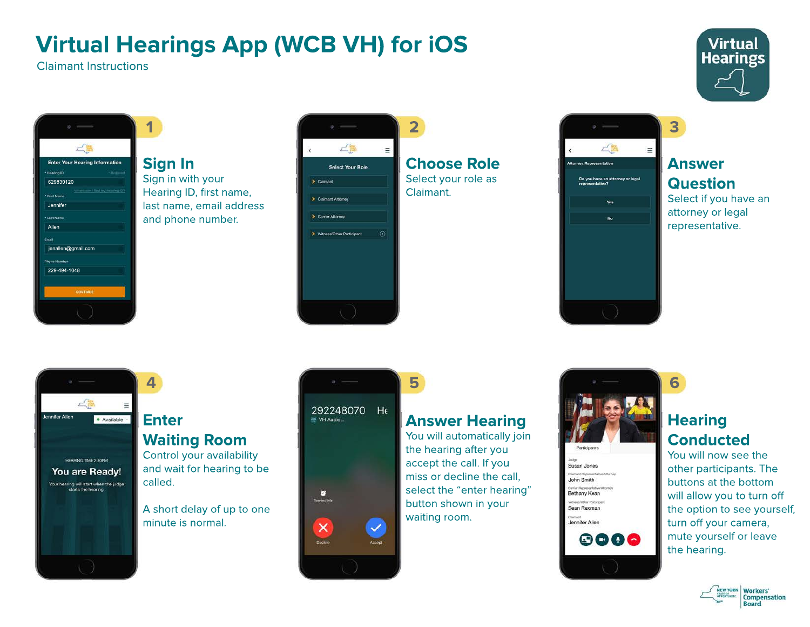# **Virtual Hearings App (WCB VH) for iOS**

Claimant Instructions



#### **Sign In** Sign in with your Hearing ID, first name, last name, email address and phone number.



**Choose Role** Select your role as



#### **Answer Question**

**3**

Select if you have an attorney or legal representative.

**Virtual Hearings** 

### **4** 二篇 Jennifer Allen · Available HEARING TIME 2:30PM You are Ready! Your hearing will start when the judge<br>starts the hearing.

### **Enter Waiting Room**

Control your availability and wait for hearing to be called.

A short delay of up to one minute is normal.



#### **Answer Hearing**

**5**

You will automatically join the hearing after you accept the call. If you miss or decline the call, select the "enter hearing" button shown in your waiting room.



#### **Hearing Conducted**

**6**

You will now see the other participants. The buttons at the bottom will allow you to turn off the option to see yourself, turn off your camera, mute yourself or leave the hearing.